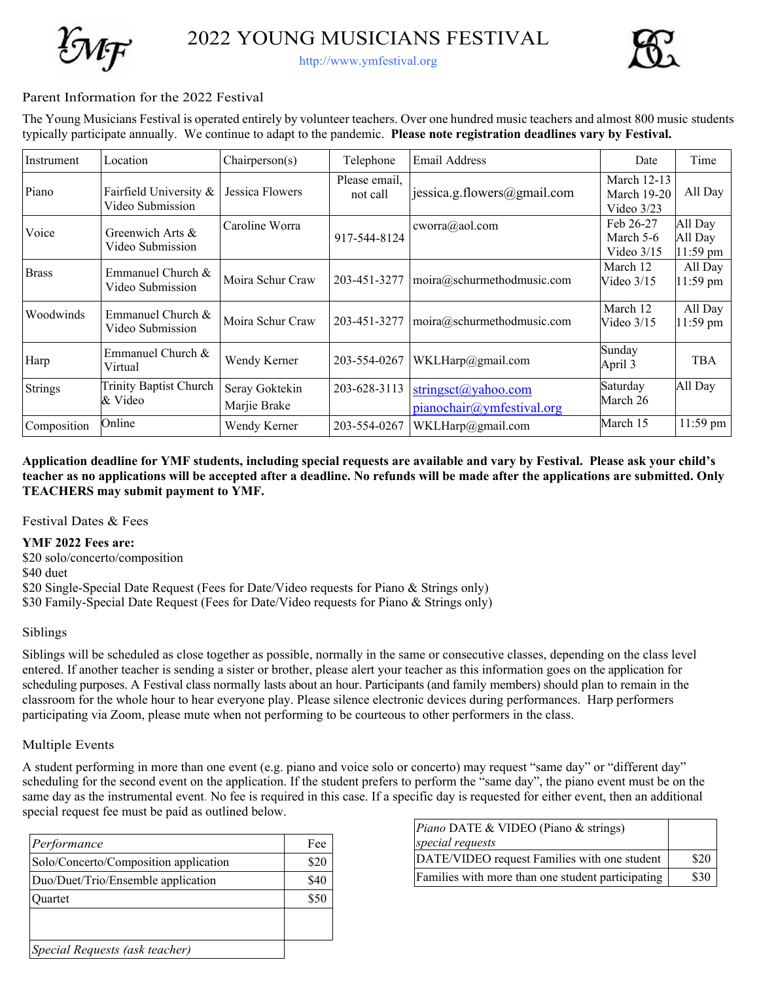2022 YOUNG MUSICIANS FESTIVAL



http://www.ymfestival.org

### Parent Information for the 2022 Festival

The Young Musicians Festival is operated entirely by volunteer teachers. Over one hundred music teachers and almost 800 music students typically participate annually. We continue to adapt to the pandemic. **Please note registration deadlines vary by Festival.** 

| Instrument     | Location                                   | Chairperson(s)                 | Telephone                 | <b>Email Address</b>                             | Date                                              | Time                           |
|----------------|--------------------------------------------|--------------------------------|---------------------------|--------------------------------------------------|---------------------------------------------------|--------------------------------|
| Piano          | Fairfield University &<br>Video Submission | Jessica Flowers                | Please email,<br>not call | jessica.g.flowers@gmail.com                      | March 12-13<br><b>March 19-20</b><br>Video $3/23$ | All Day                        |
| Voice          | Greenwich Arts &<br>Video Submission       | Caroline Worra                 | 917-544-8124              | cworra@aol.com                                   | Feb 26-27<br>March 5-6<br>Video $3/15$            | All Day<br>All Day<br>11:59 pm |
| <b>Brass</b>   | Emmanuel Church $&$<br>Video Submission    | Moira Schur Craw               | 203-451-3277              | moira@schur method music.com                     | March 12<br>Video $3/15$                          | All Day<br>11:59 pm            |
| Woodwinds      | Emmanuel Church &<br>Video Submission      | Moira Schur Craw               | 203-451-3277              | moira@schur method music.com                     | March 12<br>Video $3/15$                          | All Day<br>11:59 pm            |
| Harp           | Emmanuel Church &<br>Virtual               | Wendy Kerner                   | 203-554-0267              | WKLHarp@gmail.com                                | Sunday<br>April 3                                 | <b>TBA</b>                     |
| <b>Strings</b> | Trinity Baptist Church<br>& Video          | Seray Goktekin<br>Marjie Brake | 203-628-3113              | stringsct@yahoo.com<br>pianochair@ymfestival.org | Saturday<br>March 26                              | All Day                        |
| Composition    | Online                                     | Wendy Kerner                   | 203-554-0267              | WKLHarp@gmail.com                                | March 15                                          | 11:59 pm                       |

**Application deadline for YMF students, including special requests are available and vary by Festival. Please ask your child's teacher as no applications will be accepted after a deadline. No refunds will be made after the applications are submitted. Only TEACHERS may submit payment to YMF.** 

Festival Dates & Fees

#### **YMF 2022 Fees are:**

\$20 solo/concerto/composition

\$40 duet

\$20 Single-Special Date Request (Fees for Date/Video requests for Piano & Strings only)

\$30 Family-Special Date Request (Fees for Date/Video requests for Piano & Strings only)

### Siblings

Siblings will be scheduled as close together as possible, normally in the same or consecutive classes, depending on the class level entered. If another teacher is sending a sister or brother, please alert your teacher as this information goes on the application for scheduling purposes. A Festival class normally lasts about an hour. Participants (and family members) should plan to remain in the classroom for the whole hour to hear everyone play. Please silence electronic devices during performances. Harp performers participating via Zoom, please mute when not performing to be courteous to other performers in the class.

### Multiple Events

A student performing in more than one event (e.g. piano and voice solo or concerto) may request "same day" or "different day" scheduling for the second event on the application. If the student prefers to perform the "same day", the piano event must be on the same day as the instrumental event. No fee is required in this case. If a specific day is requested for either event, then an additional special request fee must be paid as outlined below.

| Performance                           | Fee  |
|---------------------------------------|------|
| Solo/Concerto/Composition application | \$20 |
| Duo/Duet/Trio/Ensemble application    | \$40 |
| )uartet                               | \$50 |
|                                       |      |
| Special Requests (ask teacher)        |      |

| <i>Piano DATE &amp; VIDEO (Piano &amp; strings)</i><br>special requests |      |
|-------------------------------------------------------------------------|------|
| DATE/VIDEO request Families with one student                            | \$20 |
| Families with more than one student participating                       | \$30 |